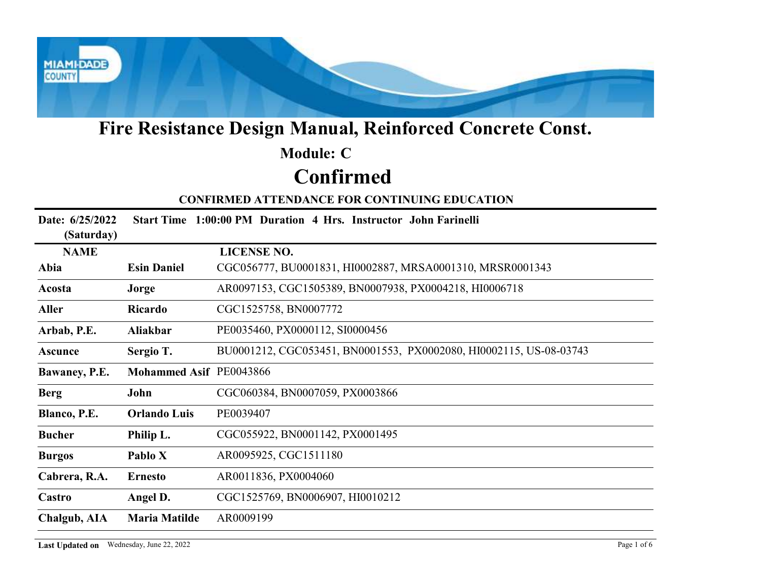

## Confirmed Module: C

| <b>Module: C</b><br><b>Confirmed</b><br><b>CONFIRMED ATTENDANCE FOR CONTINUING EDUCATION</b><br>Start Time 1:00:00 PM Duration 4 Hrs. Instructor John Farinelli<br>Date: 6/25/2022<br>(Saturday)<br><b>LICENSE NO.</b><br><b>NAME</b><br>CGC056777, BU0001831, HI0002887, MRSA0001310, MRSR0001343<br><b>Esin Daniel</b><br>Abia<br>AR0097153, CGC1505389, BN0007938, PX0004218, HI0006718<br>Acosta<br>Jorge<br>CGC1525758, BN0007772<br><b>Aller</b><br>Ricardo<br>PE0035460, PX0000112, SI0000456<br>Arbab, P.E.<br>Aliakbar<br>BU0001212, CGC053451, BN0001553, PX0002080, HI0002115, US-08-03743<br>Sergio T.<br><b>Ascunce</b><br>Mohammed Asif PE0043866<br>Bawaney, P.E.<br>CGC060384, BN0007059, PX0003866<br><b>Berg</b><br>John<br>PE0039407<br>Blanco, P.E.<br><b>Orlando Luis</b><br>Philip L.<br>CGC055922, BN0001142, PX0001495<br><b>Bucher</b><br>AR0095925, CGC1511180<br>Pablo X<br><b>Burgos</b><br>AR0011836, PX0004060<br>Cabrera, R.A.<br><b>Ernesto</b><br>CGC1525769, BN0006907, HI0010212<br>Castro<br>Angel D.<br><b>Maria Matilde</b><br><b>Chalgub, AIA</b><br>AR0009199 |  | Fire Resistance Design Manual, Reinforced Concrete Const. |
|-------------------------------------------------------------------------------------------------------------------------------------------------------------------------------------------------------------------------------------------------------------------------------------------------------------------------------------------------------------------------------------------------------------------------------------------------------------------------------------------------------------------------------------------------------------------------------------------------------------------------------------------------------------------------------------------------------------------------------------------------------------------------------------------------------------------------------------------------------------------------------------------------------------------------------------------------------------------------------------------------------------------------------------------------------------------------------------------------------|--|-----------------------------------------------------------|
|                                                                                                                                                                                                                                                                                                                                                                                                                                                                                                                                                                                                                                                                                                                                                                                                                                                                                                                                                                                                                                                                                                       |  |                                                           |
|                                                                                                                                                                                                                                                                                                                                                                                                                                                                                                                                                                                                                                                                                                                                                                                                                                                                                                                                                                                                                                                                                                       |  |                                                           |
|                                                                                                                                                                                                                                                                                                                                                                                                                                                                                                                                                                                                                                                                                                                                                                                                                                                                                                                                                                                                                                                                                                       |  |                                                           |
|                                                                                                                                                                                                                                                                                                                                                                                                                                                                                                                                                                                                                                                                                                                                                                                                                                                                                                                                                                                                                                                                                                       |  |                                                           |
|                                                                                                                                                                                                                                                                                                                                                                                                                                                                                                                                                                                                                                                                                                                                                                                                                                                                                                                                                                                                                                                                                                       |  |                                                           |
|                                                                                                                                                                                                                                                                                                                                                                                                                                                                                                                                                                                                                                                                                                                                                                                                                                                                                                                                                                                                                                                                                                       |  |                                                           |
|                                                                                                                                                                                                                                                                                                                                                                                                                                                                                                                                                                                                                                                                                                                                                                                                                                                                                                                                                                                                                                                                                                       |  |                                                           |
|                                                                                                                                                                                                                                                                                                                                                                                                                                                                                                                                                                                                                                                                                                                                                                                                                                                                                                                                                                                                                                                                                                       |  |                                                           |
|                                                                                                                                                                                                                                                                                                                                                                                                                                                                                                                                                                                                                                                                                                                                                                                                                                                                                                                                                                                                                                                                                                       |  |                                                           |
|                                                                                                                                                                                                                                                                                                                                                                                                                                                                                                                                                                                                                                                                                                                                                                                                                                                                                                                                                                                                                                                                                                       |  |                                                           |
|                                                                                                                                                                                                                                                                                                                                                                                                                                                                                                                                                                                                                                                                                                                                                                                                                                                                                                                                                                                                                                                                                                       |  |                                                           |
|                                                                                                                                                                                                                                                                                                                                                                                                                                                                                                                                                                                                                                                                                                                                                                                                                                                                                                                                                                                                                                                                                                       |  |                                                           |
|                                                                                                                                                                                                                                                                                                                                                                                                                                                                                                                                                                                                                                                                                                                                                                                                                                                                                                                                                                                                                                                                                                       |  |                                                           |
|                                                                                                                                                                                                                                                                                                                                                                                                                                                                                                                                                                                                                                                                                                                                                                                                                                                                                                                                                                                                                                                                                                       |  |                                                           |
|                                                                                                                                                                                                                                                                                                                                                                                                                                                                                                                                                                                                                                                                                                                                                                                                                                                                                                                                                                                                                                                                                                       |  |                                                           |
|                                                                                                                                                                                                                                                                                                                                                                                                                                                                                                                                                                                                                                                                                                                                                                                                                                                                                                                                                                                                                                                                                                       |  |                                                           |
|                                                                                                                                                                                                                                                                                                                                                                                                                                                                                                                                                                                                                                                                                                                                                                                                                                                                                                                                                                                                                                                                                                       |  |                                                           |
|                                                                                                                                                                                                                                                                                                                                                                                                                                                                                                                                                                                                                                                                                                                                                                                                                                                                                                                                                                                                                                                                                                       |  |                                                           |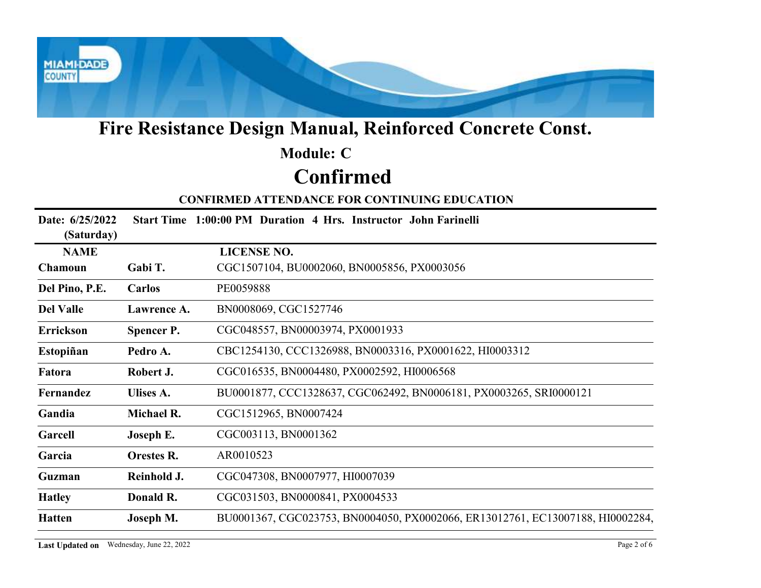

## Confirmed Module: C

|                                          |                   | Fire Resistance Design Manual, Reinforced Concrete Const.                      |
|------------------------------------------|-------------------|--------------------------------------------------------------------------------|
|                                          |                   | <b>Module: C</b>                                                               |
|                                          |                   | <b>Confirmed</b>                                                               |
|                                          |                   | <b>CONFIRMED ATTENDANCE FOR CONTINUING EDUCATION</b>                           |
| Date: 6/25/2022<br>(Saturday)            |                   | Start Time 1:00:00 PM Duration 4 Hrs. Instructor John Farinelli                |
| <b>NAME</b>                              |                   | <b>LICENSE NO.</b>                                                             |
| Chamoun                                  | Gabi T.           | CGC1507104, BU0002060, BN0005856, PX0003056                                    |
| Del Pino, P.E.                           | Carlos            | PE0059888                                                                      |
| <b>Del Valle</b>                         | Lawrence A.       | BN0008069, CGC1527746                                                          |
| Errickson                                | <b>Spencer P.</b> | CGC048557, BN00003974, PX0001933                                               |
| Estopiñan                                | Pedro A.          | CBC1254130, CCC1326988, BN0003316, PX0001622, HI0003312                        |
| Fatora                                   | Robert J.         | CGC016535, BN0004480, PX0002592, HI0006568                                     |
| Fernandez                                | Ulises A.         | BU0001877, CCC1328637, CGC062492, BN0006181, PX0003265, SRI0000121             |
| Gandia                                   | Michael R.        | CGC1512965, BN0007424                                                          |
| Garcell                                  | Joseph E.         | CGC003113, BN0001362                                                           |
| Garcia                                   | <b>Orestes R.</b> | AR0010523                                                                      |
| Guzman                                   | Reinhold J.       | CGC047308, BN0007977, HI0007039                                                |
| <b>Hatley</b>                            | Donald R.         | CGC031503, BN0000841, PX0004533                                                |
| <b>Hatten</b>                            | Joseph M.         | BU0001367, CGC023753, BN0004050, PX0002066, ER13012761, EC13007188, HI0002284, |
| Last Updated on Wednesday, June 22, 2022 |                   | Page 2 of 6                                                                    |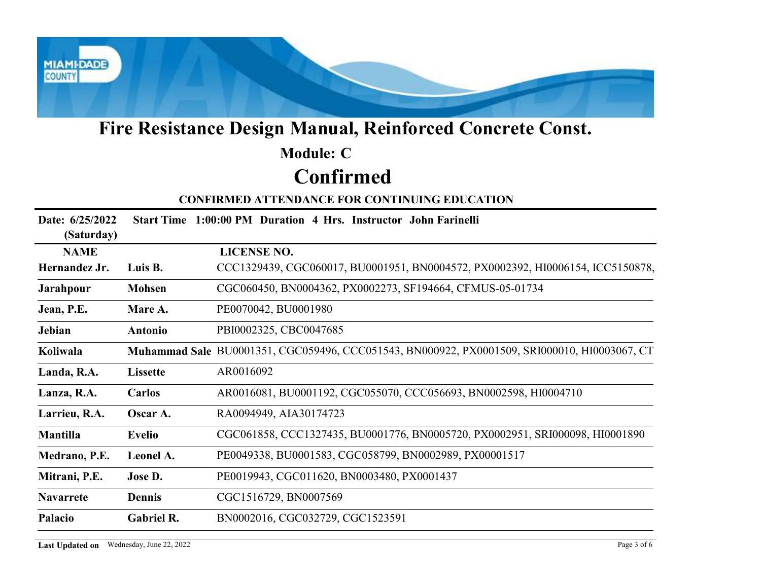

## Confirmed Module: C

|                               |                                          | Fire Resistance Design Manual, Reinforced Concrete Const.                                    |
|-------------------------------|------------------------------------------|----------------------------------------------------------------------------------------------|
|                               |                                          | <b>Module: C</b>                                                                             |
|                               |                                          | <b>Confirmed</b>                                                                             |
|                               |                                          | <b>CONFIRMED ATTENDANCE FOR CONTINUING EDUCATION</b>                                         |
| Date: 6/25/2022<br>(Saturday) |                                          | Start Time 1:00:00 PM Duration 4 Hrs. Instructor John Farinelli                              |
| <b>NAME</b>                   |                                          | <b>LICENSE NO.</b>                                                                           |
| Hernandez Jr.                 | Luis B.                                  | CCC1329439, CGC060017, BU0001951, BN0004572, PX0002392, HI0006154, ICC5150878,               |
| <b>Jarahpour</b>              | <b>Mohsen</b>                            | CGC060450, BN0004362, PX0002273, SF194664, CFMUS-05-01734                                    |
| Jean, P.E.                    | Mare A.                                  | PE0070042, BU0001980                                                                         |
| Jebian                        | Antonio                                  | PBI0002325, CBC0047685                                                                       |
| Koliwala                      |                                          | Muhammad Sale BU0001351, CGC059496, CCC051543, BN000922, PX0001509, SRI000010, HI0003067, CT |
| Landa, R.A.                   | <b>Lissette</b>                          | AR0016092                                                                                    |
| Lanza, R.A.                   | <b>Carlos</b>                            | AR0016081, BU0001192, CGC055070, CCC056693, BN0002598, HI0004710                             |
| Larrieu, R.A.                 | Oscar A.                                 | RA0094949, AIA30174723                                                                       |
| Mantilla                      | <b>Evelio</b>                            | CGC061858, CCC1327435, BU0001776, BN0005720, PX0002951, SRI000098, HI0001890                 |
| Medrano, P.E.                 | Leonel A.                                | PE0049338, BU0001583, CGC058799, BN0002989, PX00001517                                       |
| Mitrani, P.E.                 | Jose D.                                  | PE0019943, CGC011620, BN0003480, PX0001437                                                   |
| <b>Navarrete</b>              | Dennis                                   | CGC1516729, BN0007569                                                                        |
| Palacio                       | Gabriel R.                               | BN0002016, CGC032729, CGC1523591                                                             |
|                               | Last Updated on Wednesday, June 22, 2022 | Page 3 of 6                                                                                  |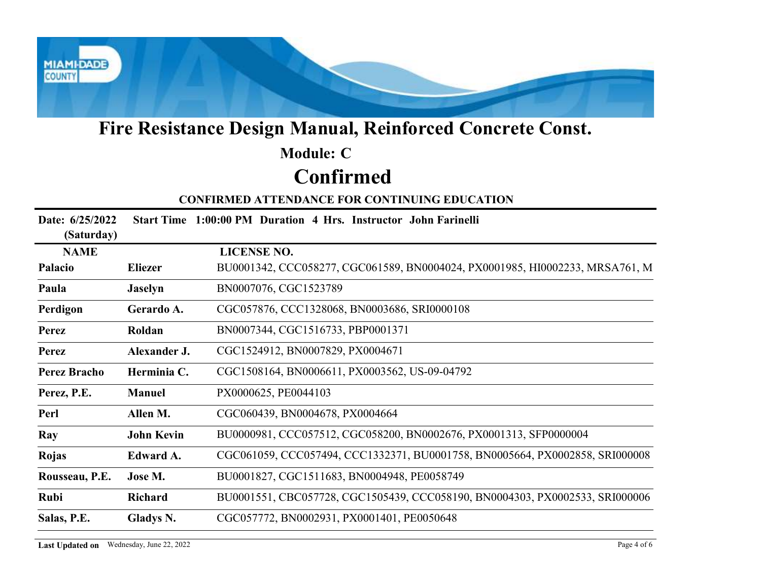

## Confirmed Module: C

|                               |                                          | Fire Resistance Design Manual, Reinforced Concrete Const.                    |
|-------------------------------|------------------------------------------|------------------------------------------------------------------------------|
|                               |                                          | <b>Module: C</b>                                                             |
|                               |                                          | <b>Confirmed</b>                                                             |
|                               |                                          | <b>CONFIRMED ATTENDANCE FOR CONTINUING EDUCATION</b>                         |
| Date: 6/25/2022<br>(Saturday) |                                          | Start Time 1:00:00 PM Duration 4 Hrs. Instructor John Farinelli              |
| <b>NAME</b>                   |                                          | <b>LICENSE NO.</b>                                                           |
| Palacio                       | <b>Eliezer</b>                           | BU0001342, CCC058277, CGC061589, BN0004024, PX0001985, HI0002233, MRSA761, M |
| Paula                         | <b>Jaselyn</b>                           | BN0007076, CGC1523789                                                        |
| Perdigon                      | Gerardo A.                               | CGC057876, CCC1328068, BN0003686, SRI0000108                                 |
| <b>Perez</b>                  | Roldan                                   | BN0007344, CGC1516733, PBP0001371                                            |
| <b>Perez</b>                  | Alexander J.                             | CGC1524912, BN0007829, PX0004671                                             |
| <b>Perez Bracho</b>           | Herminia C.                              | CGC1508164, BN0006611, PX0003562, US-09-04792                                |
| Perez, P.E.                   | Manuel                                   | PX0000625, PE0044103                                                         |
| Perl                          | Allen M.                                 | CGC060439, BN0004678, PX0004664                                              |
| Ray                           | <b>John Kevin</b>                        | BU0000981, CCC057512, CGC058200, BN0002676, PX0001313, SFP0000004            |
| Rojas                         | Edward A.                                | CGC061059, CCC057494, CCC1332371, BU0001758, BN0005664, PX0002858, SRI000008 |
| Rousseau, P.E.                | Jose M.                                  | BU0001827, CGC1511683, BN0004948, PE0058749                                  |
| Rubi                          | Richard                                  | BU0001551, CBC057728, CGC1505439, CCC058190, BN0004303, PX0002533, SRI000006 |
| Salas, P.E.                   | <b>Gladys N.</b>                         | CGC057772, BN0002931, PX0001401, PE0050648                                   |
|                               | Last Updated on Wednesday, June 22, 2022 | Page 4 of 6                                                                  |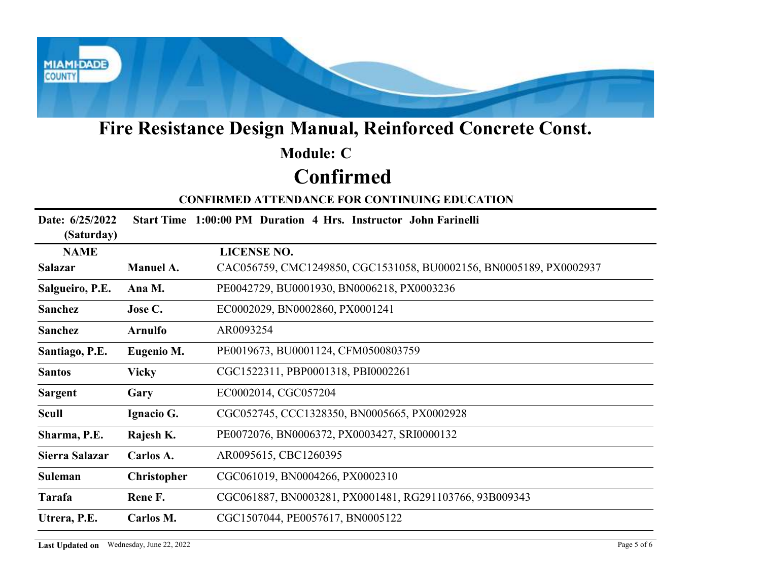

## Confirmed Module: C

|                               |                   | Fire Resistance Design Manual, Reinforced Concrete Const.          |
|-------------------------------|-------------------|--------------------------------------------------------------------|
|                               |                   | <b>Module: C</b>                                                   |
|                               |                   | <b>Confirmed</b>                                                   |
|                               |                   | <b>CONFIRMED ATTENDANCE FOR CONTINUING EDUCATION</b>               |
| Date: 6/25/2022<br>(Saturday) |                   | Start Time 1:00:00 PM Duration 4 Hrs. Instructor John Farinelli    |
| <b>NAME</b>                   |                   | <b>LICENSE NO.</b>                                                 |
| <b>Salazar</b>                | Manuel A.         | CAC056759, CMC1249850, CGC1531058, BU0002156, BN0005189, PX0002937 |
| Salgueiro, P.E.               | Ana M.            | PE0042729, BU0001930, BN0006218, PX0003236                         |
| Sanchez                       | Jose C.           | EC0002029, BN0002860, PX0001241                                    |
| Sanchez                       | <b>Arnulfo</b>    | AR0093254                                                          |
| Santiago, P.E.                | <b>Eugenio M.</b> | PE0019673, BU0001124, CFM0500803759                                |
| <b>Santos</b>                 | <b>Vicky</b>      | CGC1522311, PBP0001318, PBI0002261                                 |
| <b>Sargent</b>                | Gary              | EC0002014, CGC057204                                               |
| <b>Scull</b>                  | Ignacio G.        | CGC052745, CCC1328350, BN0005665, PX0002928                        |
| Sharma, P.E.                  | Rajesh K.         | PE0072076, BN0006372, PX0003427, SRI0000132                        |
| Sierra Salazar                | Carlos A.         | AR0095615, CBC1260395                                              |
|                               | Christopher       | CGC061019, BN0004266, PX0002310                                    |
| Suleman                       |                   |                                                                    |
| Tarafa                        | Rene F.           | CGC061887, BN0003281, PX0001481, RG291103766, 93B009343            |